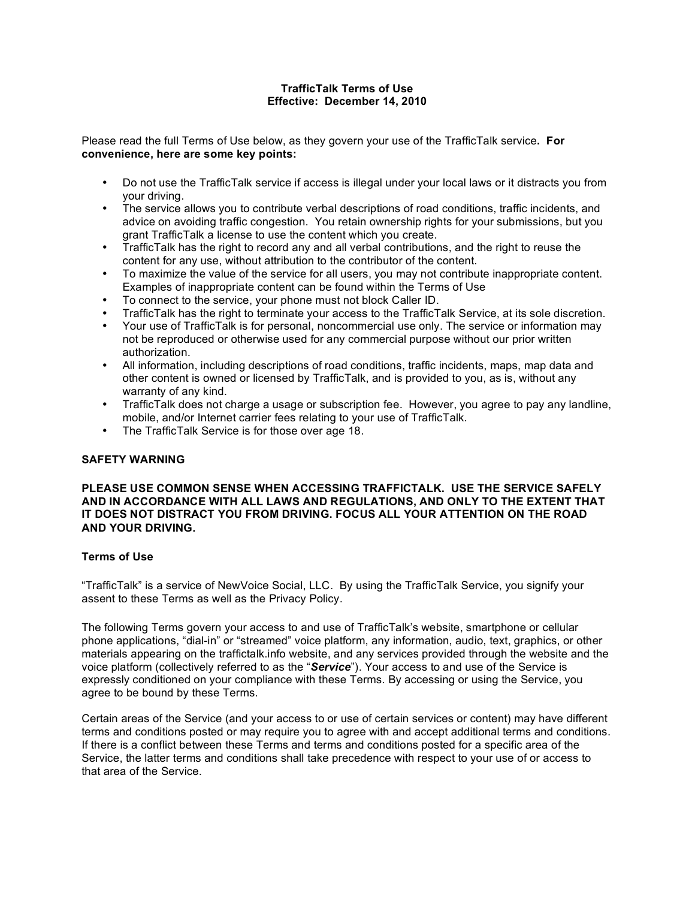# **TrafficTalk Terms of Use Effective: December 14, 2010**

Please read the full Terms of Use below, as they govern your use of the TrafficTalk service**. For convenience, here are some key points:**

- Do not use the TrafficTalk service if access is illegal under your local laws or it distracts you from your driving.
- The service allows you to contribute verbal descriptions of road conditions, traffic incidents, and advice on avoiding traffic congestion. You retain ownership rights for your submissions, but you grant TrafficTalk a license to use the content which you create.
- TrafficTalk has the right to record any and all verbal contributions, and the right to reuse the content for any use, without attribution to the contributor of the content.
- To maximize the value of the service for all users, you may not contribute inappropriate content. Examples of inappropriate content can be found within the Terms of Use
- To connect to the service, your phone must not block Caller ID.
- TrafficTalk has the right to terminate your access to the TrafficTalk Service, at its sole discretion.
- Your use of TrafficTalk is for personal, noncommercial use only. The service or information may not be reproduced or otherwise used for any commercial purpose without our prior written authorization.
- All information, including descriptions of road conditions, traffic incidents, maps, map data and other content is owned or licensed by TrafficTalk, and is provided to you, as is, without any warranty of any kind.
- TrafficTalk does not charge a usage or subscription fee. However, you agree to pay any landline, mobile, and/or Internet carrier fees relating to your use of TrafficTalk.
- The TrafficTalk Service is for those over age 18.

## **SAFETY WARNING**

**PLEASE USE COMMON SENSE WHEN ACCESSING TRAFFICTALK. USE THE SERVICE SAFELY AND IN ACCORDANCE WITH ALL LAWS AND REGULATIONS, AND ONLY TO THE EXTENT THAT IT DOES NOT DISTRACT YOU FROM DRIVING. FOCUS ALL YOUR ATTENTION ON THE ROAD AND YOUR DRIVING.**

## **Terms of Use**

"TrafficTalk" is a service of NewVoice Social, LLC. By using the TrafficTalk Service, you signify your assent to these Terms as well as the Privacy Policy.

The following Terms govern your access to and use of TrafficTalk's website, smartphone or cellular phone applications, "dial-in" or "streamed" voice platform, any information, audio, text, graphics, or other materials appearing on the traffictalk.info website, and any services provided through the website and the voice platform (collectively referred to as the "*Service*"). Your access to and use of the Service is expressly conditioned on your compliance with these Terms. By accessing or using the Service, you agree to be bound by these Terms.

Certain areas of the Service (and your access to or use of certain services or content) may have different terms and conditions posted or may require you to agree with and accept additional terms and conditions. If there is a conflict between these Terms and terms and conditions posted for a specific area of the Service, the latter terms and conditions shall take precedence with respect to your use of or access to that area of the Service.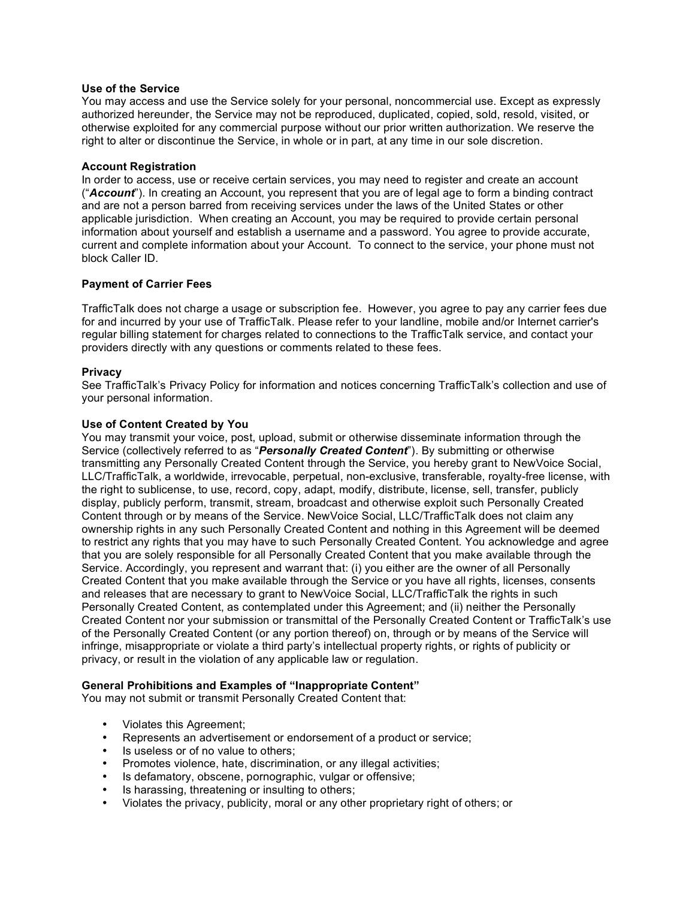#### **Use of the Service**

You may access and use the Service solely for your personal, noncommercial use. Except as expressly authorized hereunder, the Service may not be reproduced, duplicated, copied, sold, resold, visited, or otherwise exploited for any commercial purpose without our prior written authorization. We reserve the right to alter or discontinue the Service, in whole or in part, at any time in our sole discretion.

#### **Account Registration**

In order to access, use or receive certain services, you may need to register and create an account ("*Account*"). In creating an Account, you represent that you are of legal age to form a binding contract and are not a person barred from receiving services under the laws of the United States or other applicable jurisdiction. When creating an Account, you may be required to provide certain personal information about yourself and establish a username and a password. You agree to provide accurate, current and complete information about your Account. To connect to the service, your phone must not block Caller ID.

#### **Payment of Carrier Fees**

TrafficTalk does not charge a usage or subscription fee. However, you agree to pay any carrier fees due for and incurred by your use of TrafficTalk. Please refer to your landline, mobile and/or Internet carrier's regular billing statement for charges related to connections to the TrafficTalk service, and contact your providers directly with any questions or comments related to these fees.

#### **Privacy**

See TrafficTalk's Privacy Policy for information and notices concerning TrafficTalk's collection and use of your personal information.

#### **Use of Content Created by You**

You may transmit your voice, post, upload, submit or otherwise disseminate information through the Service (collectively referred to as "*Personally Created Content*"). By submitting or otherwise transmitting any Personally Created Content through the Service, you hereby grant to NewVoice Social, LLC/TrafficTalk, a worldwide, irrevocable, perpetual, non-exclusive, transferable, royalty-free license, with the right to sublicense, to use, record, copy, adapt, modify, distribute, license, sell, transfer, publicly display, publicly perform, transmit, stream, broadcast and otherwise exploit such Personally Created Content through or by means of the Service. NewVoice Social, LLC/TrafficTalk does not claim any ownership rights in any such Personally Created Content and nothing in this Agreement will be deemed to restrict any rights that you may have to such Personally Created Content. You acknowledge and agree that you are solely responsible for all Personally Created Content that you make available through the Service. Accordingly, you represent and warrant that: (i) you either are the owner of all Personally Created Content that you make available through the Service or you have all rights, licenses, consents and releases that are necessary to grant to NewVoice Social, LLC/TrafficTalk the rights in such Personally Created Content, as contemplated under this Agreement; and (ii) neither the Personally Created Content nor your submission or transmittal of the Personally Created Content or TrafficTalk's use of the Personally Created Content (or any portion thereof) on, through or by means of the Service will infringe, misappropriate or violate a third party's intellectual property rights, or rights of publicity or privacy, or result in the violation of any applicable law or regulation.

#### **General Prohibitions and Examples of "Inappropriate Content"**

You may not submit or transmit Personally Created Content that:

- Violates this Agreement;
- Represents an advertisement or endorsement of a product or service;
- Is useless or of no value to others;
- Promotes violence, hate, discrimination, or any illegal activities;
- Is defamatory, obscene, pornographic, vulgar or offensive;
- Is harassing, threatening or insulting to others;
- Violates the privacy, publicity, moral or any other proprietary right of others; or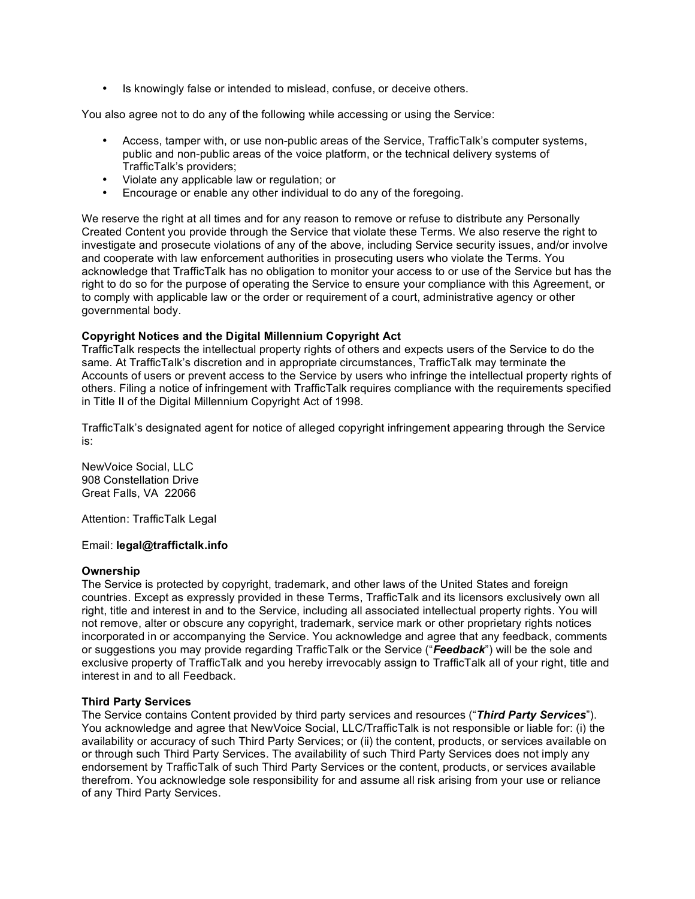• Is knowingly false or intended to mislead, confuse, or deceive others.

You also agree not to do any of the following while accessing or using the Service:

- Access, tamper with, or use non-public areas of the Service, TrafficTalk's computer systems, public and non-public areas of the voice platform, or the technical delivery systems of TrafficTalk's providers;
- Violate any applicable law or regulation; or
- Encourage or enable any other individual to do any of the foregoing.

We reserve the right at all times and for any reason to remove or refuse to distribute any Personally Created Content you provide through the Service that violate these Terms. We also reserve the right to investigate and prosecute violations of any of the above, including Service security issues, and/or involve and cooperate with law enforcement authorities in prosecuting users who violate the Terms. You acknowledge that TrafficTalk has no obligation to monitor your access to or use of the Service but has the right to do so for the purpose of operating the Service to ensure your compliance with this Agreement, or to comply with applicable law or the order or requirement of a court, administrative agency or other governmental body.

# **Copyright Notices and the Digital Millennium Copyright Act**

TrafficTalk respects the intellectual property rights of others and expects users of the Service to do the same. At TrafficTalk's discretion and in appropriate circumstances, TrafficTalk may terminate the Accounts of users or prevent access to the Service by users who infringe the intellectual property rights of others. Filing a notice of infringement with TrafficTalk requires compliance with the requirements specified in Title II of the Digital Millennium Copyright Act of 1998.

TrafficTalk's designated agent for notice of alleged copyright infringement appearing through the Service is:

NewVoice Social, LLC 908 Constellation Drive Great Falls, VA 22066

Attention: TrafficTalk Legal

## Email: **legal@traffictalk.info**

## **Ownership**

The Service is protected by copyright, trademark, and other laws of the United States and foreign countries. Except as expressly provided in these Terms, TrafficTalk and its licensors exclusively own all right, title and interest in and to the Service, including all associated intellectual property rights. You will not remove, alter or obscure any copyright, trademark, service mark or other proprietary rights notices incorporated in or accompanying the Service. You acknowledge and agree that any feedback, comments or suggestions you may provide regarding TrafficTalk or the Service ("*Feedback*") will be the sole and exclusive property of TrafficTalk and you hereby irrevocably assign to TrafficTalk all of your right, title and interest in and to all Feedback.

## **Third Party Services**

The Service contains Content provided by third party services and resources ("*Third Party Services*"). You acknowledge and agree that NewVoice Social, LLC/TrafficTalk is not responsible or liable for: (i) the availability or accuracy of such Third Party Services; or (ii) the content, products, or services available on or through such Third Party Services. The availability of such Third Party Services does not imply any endorsement by TrafficTalk of such Third Party Services or the content, products, or services available therefrom. You acknowledge sole responsibility for and assume all risk arising from your use or reliance of any Third Party Services.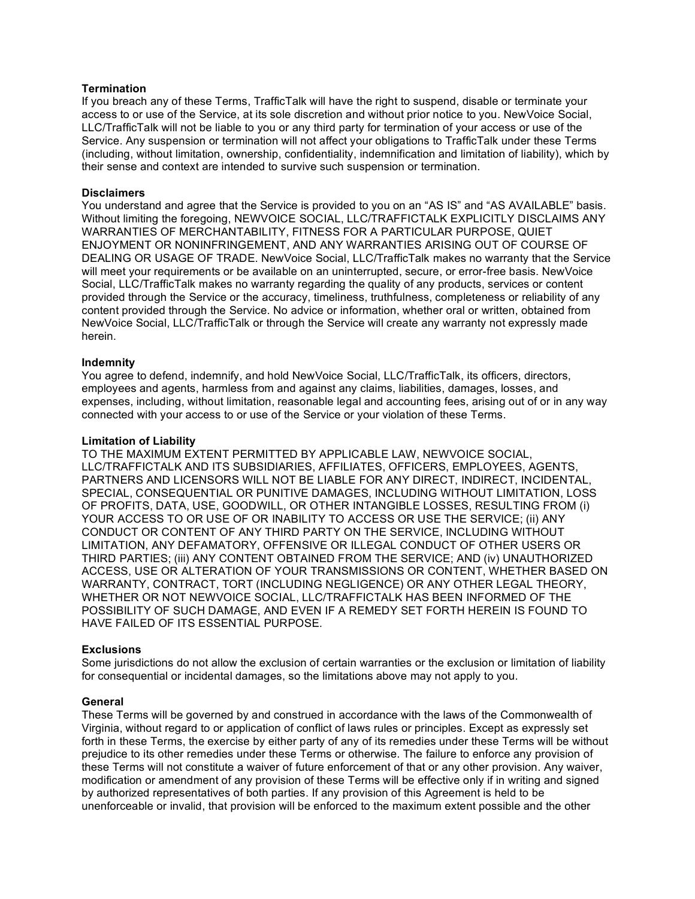## **Termination**

If you breach any of these Terms, TrafficTalk will have the right to suspend, disable or terminate your access to or use of the Service, at its sole discretion and without prior notice to you. NewVoice Social, LLC/TrafficTalk will not be liable to you or any third party for termination of your access or use of the Service. Any suspension or termination will not affect your obligations to TrafficTalk under these Terms (including, without limitation, ownership, confidentiality, indemnification and limitation of liability), which by their sense and context are intended to survive such suspension or termination.

#### **Disclaimers**

You understand and agree that the Service is provided to you on an "AS IS" and "AS AVAILABLE" basis. Without limiting the foregoing, NEWVOICE SOCIAL, LLC/TRAFFICTALK EXPLICITLY DISCLAIMS ANY WARRANTIES OF MERCHANTABILITY, FITNESS FOR A PARTICULAR PURPOSE, QUIET ENJOYMENT OR NONINFRINGEMENT, AND ANY WARRANTIES ARISING OUT OF COURSE OF DEALING OR USAGE OF TRADE. NewVoice Social, LLC/TrafficTalk makes no warranty that the Service will meet your requirements or be available on an uninterrupted, secure, or error-free basis. NewVoice Social, LLC/TrafficTalk makes no warranty regarding the quality of any products, services or content provided through the Service or the accuracy, timeliness, truthfulness, completeness or reliability of any content provided through the Service. No advice or information, whether oral or written, obtained from NewVoice Social, LLC/TrafficTalk or through the Service will create any warranty not expressly made herein.

#### **Indemnity**

You agree to defend, indemnify, and hold NewVoice Social, LLC/TrafficTalk, its officers, directors, employees and agents, harmless from and against any claims, liabilities, damages, losses, and expenses, including, without limitation, reasonable legal and accounting fees, arising out of or in any way connected with your access to or use of the Service or your violation of these Terms.

#### **Limitation of Liability**

TO THE MAXIMUM EXTENT PERMITTED BY APPLICABLE LAW, NEWVOICE SOCIAL, LLC/TRAFFICTALK AND ITS SUBSIDIARIES, AFFILIATES, OFFICERS, EMPLOYEES, AGENTS, PARTNERS AND LICENSORS WILL NOT BE LIABLE FOR ANY DIRECT, INDIRECT, INCIDENTAL, SPECIAL, CONSEQUENTIAL OR PUNITIVE DAMAGES, INCLUDING WITHOUT LIMITATION, LOSS OF PROFITS, DATA, USE, GOODWILL, OR OTHER INTANGIBLE LOSSES, RESULTING FROM (i) YOUR ACCESS TO OR USE OF OR INABILITY TO ACCESS OR USE THE SERVICE; (ii) ANY CONDUCT OR CONTENT OF ANY THIRD PARTY ON THE SERVICE, INCLUDING WITHOUT LIMITATION, ANY DEFAMATORY, OFFENSIVE OR ILLEGAL CONDUCT OF OTHER USERS OR THIRD PARTIES; (iii) ANY CONTENT OBTAINED FROM THE SERVICE; AND (iv) UNAUTHORIZED ACCESS, USE OR ALTERATION OF YOUR TRANSMISSIONS OR CONTENT, WHETHER BASED ON WARRANTY, CONTRACT, TORT (INCLUDING NEGLIGENCE) OR ANY OTHER LEGAL THEORY, WHETHER OR NOT NEWVOICE SOCIAL, LLC/TRAFFICTALK HAS BEEN INFORMED OF THE POSSIBILITY OF SUCH DAMAGE, AND EVEN IF A REMEDY SET FORTH HEREIN IS FOUND TO HAVE FAILED OF ITS ESSENTIAL PURPOSE.

## **Exclusions**

Some jurisdictions do not allow the exclusion of certain warranties or the exclusion or limitation of liability for consequential or incidental damages, so the limitations above may not apply to you.

#### **General**

These Terms will be governed by and construed in accordance with the laws of the Commonwealth of Virginia, without regard to or application of conflict of laws rules or principles. Except as expressly set forth in these Terms, the exercise by either party of any of its remedies under these Terms will be without prejudice to its other remedies under these Terms or otherwise. The failure to enforce any provision of these Terms will not constitute a waiver of future enforcement of that or any other provision. Any waiver, modification or amendment of any provision of these Terms will be effective only if in writing and signed by authorized representatives of both parties. If any provision of this Agreement is held to be unenforceable or invalid, that provision will be enforced to the maximum extent possible and the other